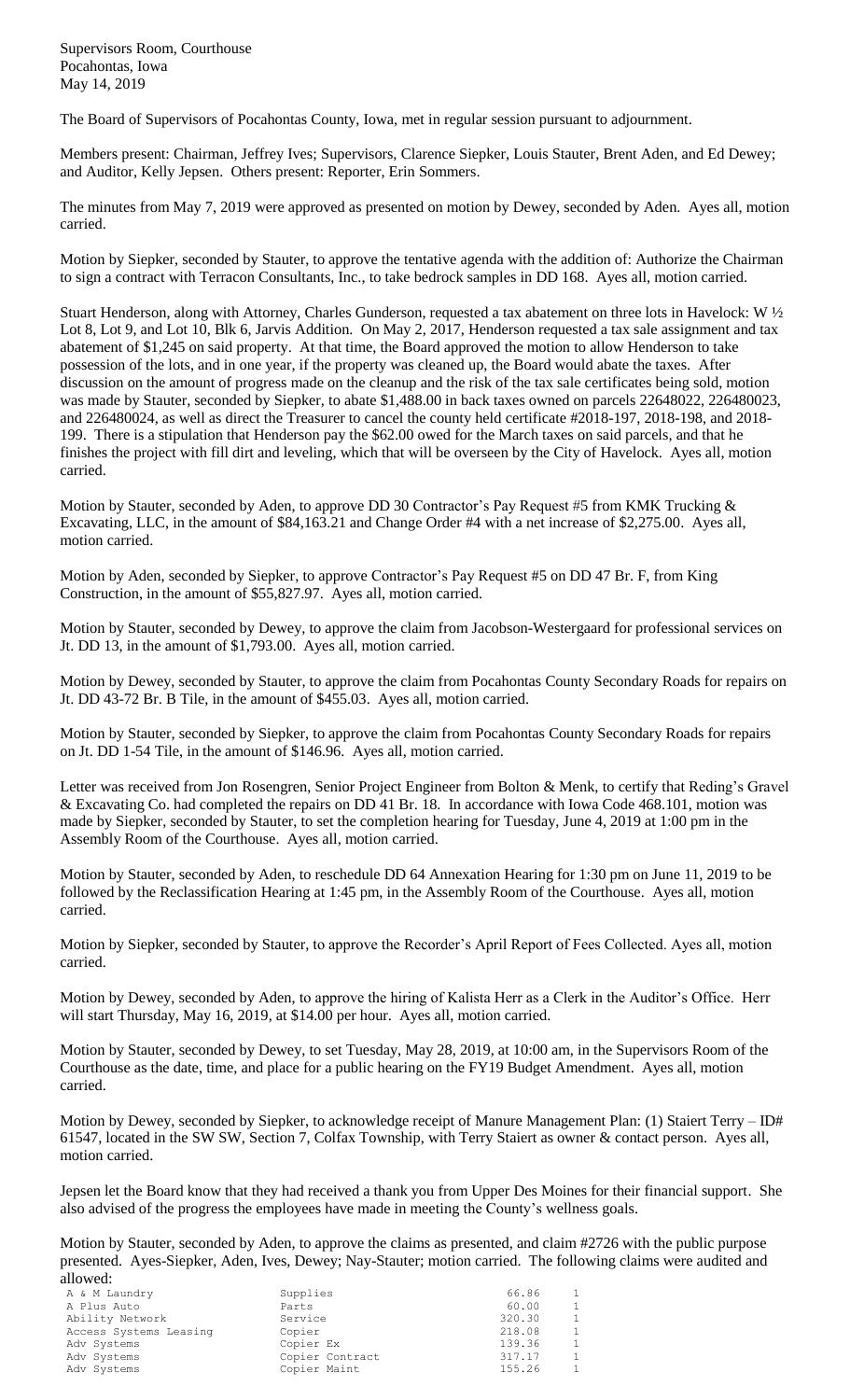Supervisors Room, Courthouse Pocahontas, Iowa May 14, 2019

The Board of Supervisors of Pocahontas County, Iowa, met in regular session pursuant to adjournment.

Members present: Chairman, Jeffrey Ives; Supervisors, Clarence Siepker, Louis Stauter, Brent Aden, and Ed Dewey; and Auditor, Kelly Jepsen. Others present: Reporter, Erin Sommers.

The minutes from May 7, 2019 were approved as presented on motion by Dewey, seconded by Aden. Ayes all, motion carried.

Motion by Siepker, seconded by Stauter, to approve the tentative agenda with the addition of: Authorize the Chairman to sign a contract with Terracon Consultants, Inc., to take bedrock samples in DD 168. Ayes all, motion carried.

Stuart Henderson, along with Attorney, Charles Gunderson, requested a tax abatement on three lots in Havelock: W ½ Lot 8, Lot 9, and Lot 10, Blk 6, Jarvis Addition. On May 2, 2017, Henderson requested a tax sale assignment and tax abatement of \$1,245 on said property. At that time, the Board approved the motion to allow Henderson to take possession of the lots, and in one year, if the property was cleaned up, the Board would abate the taxes. After discussion on the amount of progress made on the cleanup and the risk of the tax sale certificates being sold, motion was made by Stauter, seconded by Siepker, to abate \$1,488.00 in back taxes owned on parcels 22648022, 226480023, and 226480024, as well as direct the Treasurer to cancel the county held certificate #2018-197, 2018-198, and 2018- 199. There is a stipulation that Henderson pay the \$62.00 owed for the March taxes on said parcels, and that he finishes the project with fill dirt and leveling, which that will be overseen by the City of Havelock. Ayes all, motion carried.

Motion by Stauter, seconded by Aden, to approve DD 30 Contractor's Pay Request #5 from KMK Trucking & Excavating, LLC, in the amount of \$84,163.21 and Change Order #4 with a net increase of \$2,275.00. Ayes all, motion carried.

Motion by Aden, seconded by Siepker, to approve Contractor's Pay Request #5 on DD 47 Br. F, from King Construction, in the amount of \$55,827.97. Ayes all, motion carried.

Motion by Stauter, seconded by Dewey, to approve the claim from Jacobson-Westergaard for professional services on Jt. DD 13, in the amount of \$1,793.00. Ayes all, motion carried.

Motion by Dewey, seconded by Stauter, to approve the claim from Pocahontas County Secondary Roads for repairs on Jt. DD 43-72 Br. B Tile, in the amount of \$455.03. Ayes all, motion carried.

Motion by Stauter, seconded by Siepker, to approve the claim from Pocahontas County Secondary Roads for repairs on Jt. DD 1-54 Tile, in the amount of \$146.96. Ayes all, motion carried.

Letter was received from Jon Rosengren, Senior Project Engineer from Bolton & Menk, to certify that Reding's Gravel & Excavating Co. had completed the repairs on DD 41 Br. 18. In accordance with Iowa Code 468.101, motion was made by Siepker, seconded by Stauter, to set the completion hearing for Tuesday, June 4, 2019 at 1:00 pm in the Assembly Room of the Courthouse. Ayes all, motion carried.

Motion by Stauter, seconded by Aden, to reschedule DD 64 Annexation Hearing for 1:30 pm on June 11, 2019 to be followed by the Reclassification Hearing at 1:45 pm, in the Assembly Room of the Courthouse. Ayes all, motion carried.

Motion by Siepker, seconded by Stauter, to approve the Recorder's April Report of Fees Collected. Ayes all, motion carried.

Motion by Dewey, seconded by Aden, to approve the hiring of Kalista Herr as a Clerk in the Auditor's Office. Herr will start Thursday, May 16, 2019, at \$14.00 per hour. Ayes all, motion carried.

Motion by Stauter, seconded by Dewey, to set Tuesday, May 28, 2019, at 10:00 am, in the Supervisors Room of the Courthouse as the date, time, and place for a public hearing on the FY19 Budget Amendment. Ayes all, motion carried.

Motion by Dewey, seconded by Siepker, to acknowledge receipt of Manure Management Plan: (1) Staiert Terry – ID# 61547, located in the SW SW, Section 7, Colfax Township, with Terry Staiert as owner & contact person. Ayes all, motion carried.

Jepsen let the Board know that they had received a thank you from Upper Des Moines for their financial support. She also advised of the progress the employees have made in meeting the County's wellness goals.

Motion by Stauter, seconded by Aden, to approve the claims as presented, and claim #2726 with the public purpose presented. Ayes-Siepker, Aden, Ives, Dewey; Nay-Stauter; motion carried. The following claims were audited and allowed:

| .                      |                 |        |                |
|------------------------|-----------------|--------|----------------|
| A & M Laundry          | Supplies        | 66.86  | $\overline{1}$ |
| A Plus Auto            | Parts           | 60.00  | $\overline{1}$ |
| Ability Network        | Service         | 320.30 | 1              |
| Access Systems Leasing | Copier          | 218.08 | $\overline{1}$ |
| Adv Systems            | Copier Ex       | 139.36 | $\overline{1}$ |
| Adv Systems            | Copier Contract | 317.17 | $\overline{1}$ |
| Adv Systems            | Copier Maint    | 155.26 | $\mathbf{1}$   |
|                        |                 |        |                |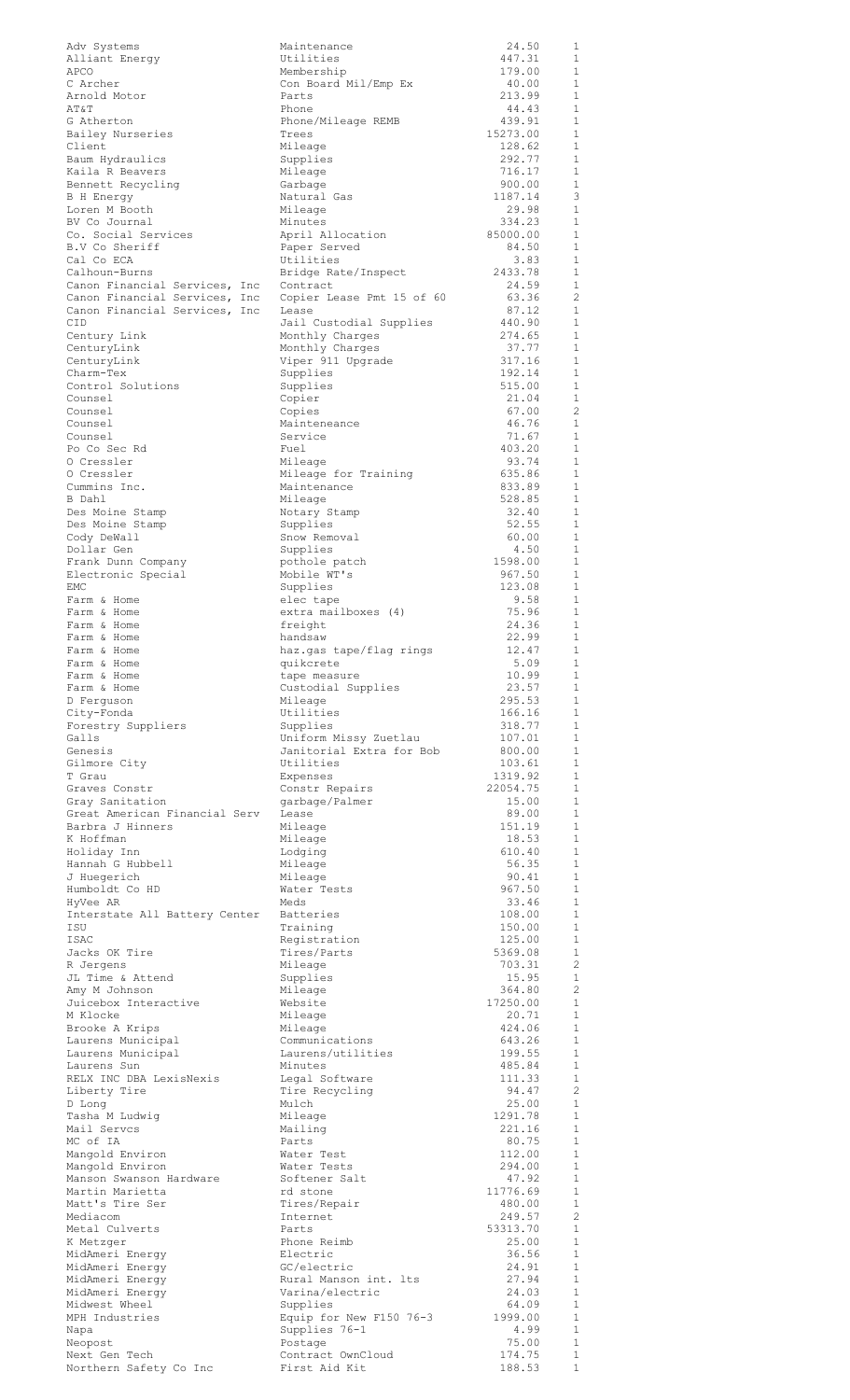| Adv Systems                             | Maintenance                        | 24.50              | 1                            |
|-----------------------------------------|------------------------------------|--------------------|------------------------------|
| Alliant Energy                          | Utilities                          | 447.31             | 1                            |
| APCO                                    | Membership                         | 179.00             | 1                            |
| C Archer                                | Con Board Mil/Emp Ex               | 40.00              | $\mathbf{1}$                 |
| Arnold Motor                            | Parts                              | 213.99<br>44.43    | $\mathbf{1}$<br>$\mathbf{1}$ |
| AT&T<br>G Atherton                      | Phone<br>Phone/Mileage REMB        | 439.91             | $\mathbf{1}$                 |
| Bailey Nurseries                        | Trees                              | 15273.00           | $\mathbf{1}$                 |
| Client                                  | Mileage                            | 128.62             | $\mathbf{1}$                 |
| Baum Hydraulics                         | Supplies                           | 292.77             | $\mathbf{1}$                 |
| Kaila R Beavers                         | Mileage                            | 716.17             | $\mathbf{1}$                 |
| Bennett Recycling                       | Garbage                            | 900.00             | $\mathbf{1}$                 |
| B H Energy                              | Natural Gas                        | 1187.14            | 3                            |
| Loren M Booth                           | Mileage                            | 29.98              | $\mathbf{1}$                 |
| BV Co Journal                           | Minutes                            | 334.23<br>85000.00 | $\mathbf{1}$<br>$\mathbf{1}$ |
| Co. Social Services<br>B.V Co Sheriff   | April Allocation<br>Paper Served   | 84.50              | $\mathbf{1}$                 |
| Cal Co ECA                              | Utilities                          | 3.83               | $\mathbf{1}$                 |
| Calhoun-Burns                           | Bridge Rate/Inspect                | 2433.78            | $\mathbf{1}$                 |
| Canon Financial Services, Inc           | Contract                           | 24.59              | $\mathbf{1}$                 |
| Canon Financial Services, Inc           | Copier Lease Pmt 15 of 60          | 63.36              | 2                            |
| Canon Financial Services, Inc           | Lease                              | 87.12              | $\mathbf{1}$                 |
| CID                                     | Jail Custodial Supplies            | 440.90             | $\mathbf{1}$                 |
| Century Link                            | Monthly Charges                    | 274.65             | 1                            |
| CenturyLink                             | Monthly Charges                    | 37.77              | $\mathbf{1}$                 |
| CenturyLink                             | Viper 911 Upgrade                  | 317.16             | 1                            |
| Charm-Tex<br>Control Solutions          | Supplies                           | 192.14             | $\mathbf{1}$<br>$\mathbf{1}$ |
| Counsel                                 | Supplies<br>Copier                 | 515.00<br>21.04    | $\mathbf{1}$                 |
| Counsel                                 | Copies                             | 67.00              | 2                            |
| Counsel                                 | Mainteneance                       | 46.76              | $\mathbf{1}$                 |
| Counsel                                 | Service                            | 71.67              | $\mathbf{1}$                 |
| Po Co Sec Rd                            | Fuel                               | 403.20             | $\mathbf{1}$                 |
| 0 Cressler                              | Mileage                            | 93.74              | $\mathbf{1}$                 |
| 0 Cressler                              | Mileage for Training               | 635.86             | $\mathbf{1}$                 |
| Cummins Inc.                            | Maintenance                        | 833.89             | $\mathbf{1}$                 |
| B Dahl                                  | Mileage                            | 528.85             | $\mathbf{1}$                 |
| Des Moine Stamp                         | Notary Stamp                       | 32.40              | $\mathbf{1}$                 |
| Des Moine Stamp                         | Supplies                           | 52.55              | $\mathbf{1}$                 |
| Cody DeWall<br>Dollar Gen               | Snow Removal<br>Supplies           | 60.00<br>4.50      | $\mathbf{1}$<br>$\mathbf{1}$ |
| Frank Dunn Company                      | pothole patch                      | 1598.00            | $\mathbf{1}$                 |
| Electronic Special                      | Mobile WT's                        | 967.50             | $\mathbf{1}$                 |
| EMC                                     | Supplies                           | 123.08             | $\mathbf{1}$                 |
| Farm & Home                             | elec tape                          | 9.58               | $\mathbf{1}$                 |
| Farm & Home                             | extra mailboxes (4)                | 75.96              | 1                            |
| Farm & Home                             | freight                            | 24.36              | $\mathbf{1}$                 |
| Farm & Home                             | handsaw                            | 22.99              | 1                            |
| Farm & Home                             | haz.gas tape/flag rings            | 12.47              | $\mathbf{1}$                 |
| Farm & Home                             | quikcrete                          | 5.09               | $\mathbf{1}$                 |
| Farm & Home                             | tape measure                       | 10.99              | 1<br>$\mathbf{1}$            |
| Farm & Home<br>D Ferquson               | Custodial Supplies<br>Mileage      | 23.57<br>295.53    | $\mathbf{1}$                 |
| City-Fonda                              | Utilities                          | 166.16             | $\mathbf{1}$                 |
| Forestry Suppliers                      | Supplies                           | 318.77             | 1                            |
| Galls                                   | Uniform Missy Zuetlau              | 107.01             | $\mathbf{1}$                 |
| Genesis                                 | Janitorial Extra for Bob           | 800.00             | $\mathbf{1}$                 |
| Gilmore City                            | Utilities                          | 103.61             | $\mathbf{1}$                 |
| T Grau                                  | Expenses                           | 1319.92            | $\mathbf{1}$                 |
| Graves Constr                           | Constr Repairs                     | 22054.75           | $\mathbf{1}$                 |
| Gray Sanitation                         | garbage/Palmer                     | 15.00              | $\mathbf{1}$                 |
| Great American Financial Serv           | Lease                              | 89.00              | $\mathbf{1}$                 |
| Barbra J Hinners                        | Mileage                            | 151.19             | $\mathbf{1}$                 |
| K Hoffman<br>Holiday Inn                | Mileage<br>Lodging                 | 18.53<br>610.40    | $\mathbf{1}$<br>1            |
| Hannah G Hubbell                        | Mileage                            | 56.35              | $\mathbf{1}$                 |
| J Huegerich                             | Mileage                            | 90.41              | $\mathbf{1}$                 |
| Humboldt Co HD                          | Water Tests                        | 967.50             | $\mathbf{1}$                 |
| HyVee AR                                | Meds                               | 33.46              | 1                            |
| Interstate All Battery Center           | <b>Batteries</b>                   | 108.00             | $\mathbf{1}$                 |
| ISU                                     | Training                           | 150.00             | 1                            |
| <b>ISAC</b>                             | Registration                       | 125.00             | 1                            |
| Jacks OK Tire                           | Tires/Parts                        | 5369.08            | 1                            |
| R Jergens                               | Mileage                            | 703.31             | 2                            |
| JL Time & Attend<br>Amy M Johnson       | Supplies<br>Mileage                | 15.95<br>364.80    | $\mathbf{1}$<br>2            |
| Juicebox Interactive                    | Website                            | 17250.00           | $\mathbf{1}$                 |
| M Klocke                                | Mileage                            | 20.71              | $\mathbf{1}$                 |
| Brooke A Krips                          | Mileage                            | 424.06             | 1                            |
| Laurens Municipal                       | Communications                     | 643.26             | $\mathbf{1}$                 |
| Laurens Municipal                       | Laurens/utilities                  | 199.55             | $\mathbf{1}$                 |
| Laurens Sun                             | Minutes                            | 485.84             | $\mathbf{1}$                 |
| RELX INC DBA LexisNexis                 | Legal Software                     | 111.33             | $\mathbf{1}$                 |
| Liberty Tire                            | Tire Recycling                     | 94.47              | $\mathbf{2}^{\prime}$        |
| D Long<br>Tasha M Ludwig                | Mulch<br>Mileage                   | 25.00<br>1291.78   | $\mathbf{1}$<br>$\mathbf{1}$ |
| Mail Servcs                             | Mailing                            | 221.16             | 1                            |
| MC of IA                                | Parts                              | 80.75              | $\mathbf{1}$                 |
| Mangold Environ                         | Water Test                         | 112.00             | $\mathbf{1}$                 |
| Mangold Environ                         | Water Tests                        | 294.00             | $\mathbf{1}$                 |
| Manson Swanson Hardware                 | Softener Salt                      | 47.92              | $\mathbf{1}$                 |
| Martin Marietta                         | rd stone                           | 11776.69           | $\mathbf{1}$                 |
| Matt's Tire Ser                         | Tires/Repair                       | 480.00             | $\mathbf{1}$                 |
| Mediacom                                | Internet                           | 249.57             | 2                            |
| Metal Culverts                          | Parts<br>Phone Reimb               | 53313.70<br>25.00  | 1<br>1                       |
| K Metzger<br>MidAmeri Energy            | Electric                           | 36.56              | $\mathbf{1}$                 |
| MidAmeri Energy                         | GC/electric                        | 24.91              | $\mathbf{1}$                 |
| MidAmeri Energy                         | Rural Manson int. Its              | 27.94              | $\mathbf{1}$                 |
| MidAmeri Energy                         | Varina/electric                    | 24.03              | $\mathbf{1}$                 |
| Midwest Wheel                           | Supplies                           | 64.09              | $\mathbf{1}$                 |
| MPH Industries                          | Equip for New F150 76-3            | 1999.00            | $\mathbf{1}$                 |
| Napa                                    | Supplies 76-1                      | 4.99               | $\mathbf{1}$                 |
| Neopost                                 | Postage                            | 75.00              | $\mathbf{1}$                 |
| Next Gen Tech<br>Northern Safety Co Inc | Contract OwnCloud<br>First Aid Kit | 174.75<br>188.53   | $\mathbf{1}$<br>$\mathbf{1}$ |
|                                         |                                    |                    |                              |